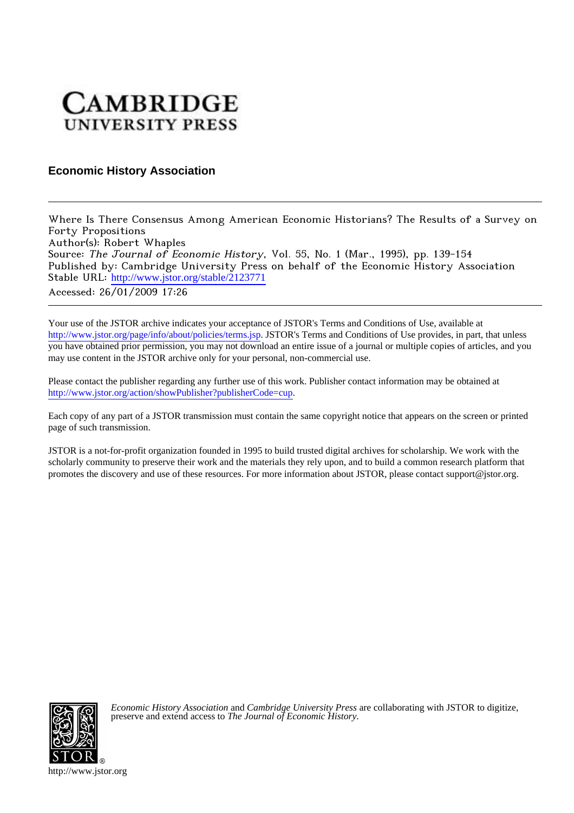# **CAMBRIDGE UNIVERSITY PRESS**

## **Economic History Association**

Where Is There Consensus Among American Economic Historians? The Results of a Survey on Forty Propositions Author(s): Robert Whaples Source: The Journal of Economic History, Vol. 55, No. 1 (Mar., 1995), pp. 139-154 Published by: Cambridge University Press on behalf of the Economic History Association Stable URL: [http://www.jstor.org/stable/2123771](http://www.jstor.org/stable/2123771?origin=JSTOR-pdf) Accessed: 26/01/2009 17:26

Your use of the JSTOR archive indicates your acceptance of JSTOR's Terms and Conditions of Use, available at <http://www.jstor.org/page/info/about/policies/terms.jsp>. JSTOR's Terms and Conditions of Use provides, in part, that unless you have obtained prior permission, you may not download an entire issue of a journal or multiple copies of articles, and you may use content in the JSTOR archive only for your personal, non-commercial use.

Please contact the publisher regarding any further use of this work. Publisher contact information may be obtained at <http://www.jstor.org/action/showPublisher?publisherCode=cup>.

Each copy of any part of a JSTOR transmission must contain the same copyright notice that appears on the screen or printed page of such transmission.

JSTOR is a not-for-profit organization founded in 1995 to build trusted digital archives for scholarship. We work with the scholarly community to preserve their work and the materials they rely upon, and to build a common research platform that promotes the discovery and use of these resources. For more information about JSTOR, please contact support@jstor.org.



*Economic History Association* and *Cambridge University Press* are collaborating with JSTOR to digitize, preserve and extend access to *The Journal of Economic History.*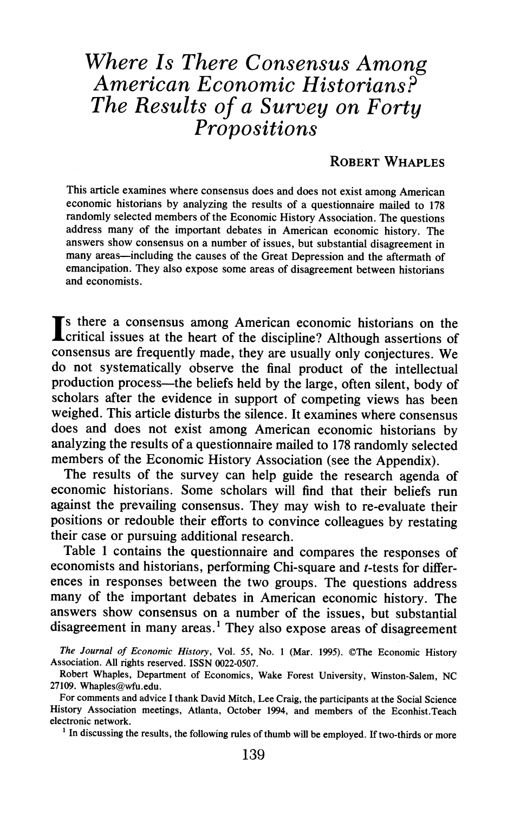## **Where Is There Consensus Among American Economic Historians? The Results of a Survey on Forty Propositions**

## **ROBERT WHAPLES**

**This article examines where consensus does and does not exist among American economic historians by analyzing the results of a questionnaire mailed to 178 randomly selected members of the Economic History Association. The questions address many of the important debates in American economic history. The answers show consensus on a number of issues, but substantial disagreement in**  many areas—including the causes of the Great Depression and the aftermath of **emancipation. They also expose some areas of disagreement between historians and economists.** 

**Is there a consensus among American economic historians on the critical issues at the heart of the discipline? Although assertions of consensus are frequently made, they are usually only conjectures. We do not systematically observe the final product of the intellectual production process-the beliefs held by the large, often silent, body of scholars after the evidence in support of competing views has been weighed. This article disturbs the silence. It examines where consensus does and does not exist among American economic historians by analyzing the results of a questionnaire mailed to 178 randomly selected members of the Economic History Association (see the Appendix).** 

**The results of the survey can help guide the research agenda of economic historians. Some scholars will find that their beliefs run against the prevailing consensus. They may wish to re-evaluate their positions or redouble their efforts to convince colleagues by restating their case or pursuing additional research.** 

**Table 1 contains the questionnaire and compares the responses of economists and historians, performing Chi-square and t-tests for differences in responses between the two groups. The questions address many of the important debates in American economic history. The answers show consensus on a number of the issues, but substantial disagreement in many areas.' They also expose areas of disagreement** 

<sup>1</sup> In discussing the results, the following rules of thumb will be employed. If two-thirds or more

The Journal of Economic History, Vol. 55, No. 1 (Mar. 1995). ©The Economic History **Association. All rights reserved. ISSN 0022-0507.** 

**Robert Whaples, Department of Economics, Wake Forest University, Winston-Salem, NC 27109. Whaples@wfu.edu.** 

**For comments and advice I thank David Mitch, Lee Craig, the participants at the Social Science History Association meetings, Atlanta, October 1994, and members of the Econhist.Teach electronic network.**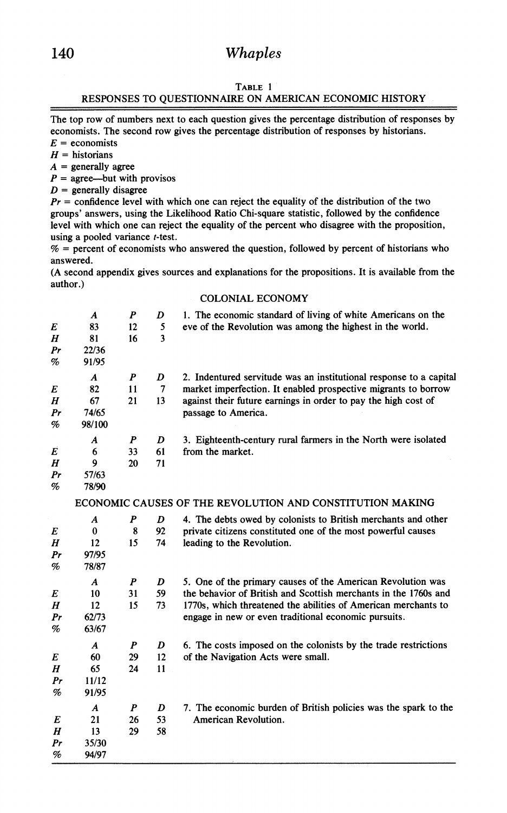#### **TABLE I**

## **RESPONSES TO QUESTIONNAIRE ON AMERICAN ECONOMIC HISTORY**

**The top row of numbers next to each question gives the percentage distribution of responses by economists. The second row gives the percentage distribution of responses by historians.** 

 $E =$  **economists** 

 $H =$  historians

 $A =$  generally agree

 $P = \text{agree}$ -but with provisos

 $D$  = generally disagree

**Pr = confidence level with which one can reject the equality of the distribution of the two groups' answers, using the Likelihood Ratio Chi-square statistic, followed by the confidence level with which one can reject the equality of the percent who disagree with the proposition, using a pooled variance t-test.** 

**% = percent of economists who answered the question, followed by percent of historians who answered.** 

**(A second appendix gives sources and explanations for the propositions. It is available from the author.)** 

#### **COLONIAL ECONOMY**

| E<br>H<br>Pr<br>%                | $\boldsymbol{A}$<br>83<br>81<br>22/36<br>91/95       | $\boldsymbol{P}$<br>12<br>16 | D<br>5<br>3   | 1. The economic standard of living of white Americans on the<br>eve of the Revolution was among the highest in the world.                                                                                                                                |
|----------------------------------|------------------------------------------------------|------------------------------|---------------|----------------------------------------------------------------------------------------------------------------------------------------------------------------------------------------------------------------------------------------------------------|
| E<br>H<br>Pr<br>%                | $\boldsymbol{A}$<br>82<br>67<br>74/65<br>98/100      | P<br>11<br>21                | D<br>7<br>13  | 2. Indentured servitude was an institutional response to a capital<br>market imperfection. It enabled prospective migrants to borrow<br>against their future earnings in order to pay the high cost of<br>passage to America.                            |
| É<br>$\boldsymbol{H}$<br>Pr<br>% | $\boldsymbol{A}$<br>6<br>9<br>57/63<br>78/90         | P<br>33<br>20                | D<br>61<br>71 | 3. Eighteenth-century rural farmers in the North were isolated<br>from the market.                                                                                                                                                                       |
|                                  |                                                      |                              |               | ECONOMIC CAUSES OF THE REVOLUTION AND CONSTITUTION MAKING                                                                                                                                                                                                |
| E<br>H<br>Pr<br>%                | $\boldsymbol{A}$<br>$\bf{0}$<br>12<br>97/95<br>78/87 | $\boldsymbol{P}$<br>8<br>15  | D<br>92<br>74 | 4. The debts owed by colonists to British merchants and other<br>private citizens constituted one of the most powerful causes<br>leading to the Revolution.                                                                                              |
| E<br>H<br>Pr<br>%                | $\boldsymbol{A}$<br>10<br>12<br>62/73<br>63/67       | $\boldsymbol{P}$<br>31<br>15 | D<br>59<br>73 | 5. One of the primary causes of the American Revolution was<br>the behavior of British and Scottish merchants in the 1760s and<br>1770s, which threatened the abilities of American merchants to<br>engage in new or even traditional economic pursuits. |
| E<br>H<br>Pr<br>%                | $\boldsymbol{A}$<br>60<br>65<br>11/12<br>91/95       | P<br>29<br>24                | D<br>12<br>11 | 6. The costs imposed on the colonists by the trade restrictions<br>of the Navigation Acts were small.                                                                                                                                                    |
| E<br>$\boldsymbol{H}$<br>Pr<br>% | A<br>21<br>13<br>35/30<br>94/97                      | P<br>26<br>29                | D<br>53<br>58 | 7. The economic burden of British policies was the spark to the<br>American Revolution.                                                                                                                                                                  |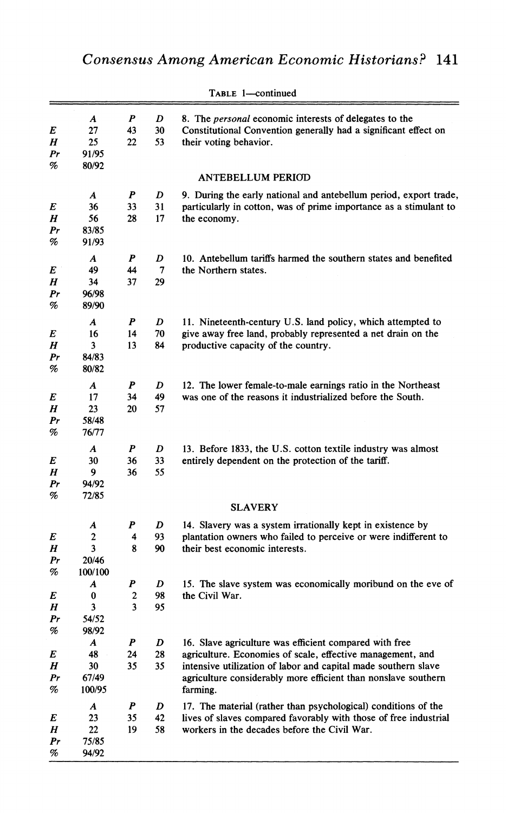|              | A                       | $\boldsymbol{P}$        | D  | 8. The <i>personal</i> economic interests of delegates to the     |
|--------------|-------------------------|-------------------------|----|-------------------------------------------------------------------|
| E            | 27                      | 43                      | 30 | Constitutional Convention generally had a significant effect on   |
| H            | 25                      | 22                      | 53 | their voting behavior.                                            |
| Pr           | 91/95                   |                         |    |                                                                   |
| %            | 80/92                   |                         |    | <b>ANTEBELLUM PERIOD</b>                                          |
|              |                         |                         |    |                                                                   |
|              | A                       | $\boldsymbol{P}$        | D  | 9. During the early national and antebellum period, export trade, |
| E            | 36                      | 33                      | 31 | particularly in cotton, was of prime importance as a stimulant to |
| H            | 56                      | 28                      | 17 | the economy.                                                      |
| Pr           | 83/85                   |                         |    |                                                                   |
| %            | 91/93                   |                         |    |                                                                   |
|              | $\boldsymbol{A}$        | $\boldsymbol{P}$        | D  | 10. Antebellum tariffs harmed the southern states and benefited   |
| E            | 49                      | 44                      | 7  | the Northern states.                                              |
| H            | 34                      | 37                      | 29 |                                                                   |
| Pr           | 96/98                   |                         |    |                                                                   |
| %            | 89/90                   |                         |    |                                                                   |
|              | $\boldsymbol{A}$        | $\boldsymbol{P}$        | D  | 11. Nineteenth-century U.S. land policy, which attempted to       |
| E            | 16                      | 14                      | 70 | give away free land, probably represented a net drain on the      |
| H            | 3                       | 13                      | 84 | productive capacity of the country.                               |
| $_{Pr}$      | 84/83                   |                         |    |                                                                   |
| %            | 80/82                   |                         |    |                                                                   |
|              | $\boldsymbol{A}$        | P                       | D  | 12. The lower female-to-male earnings ratio in the Northeast      |
| E            | 17                      | 34                      | 49 | was one of the reasons it industrialized before the South.        |
| H            | 23                      | 20                      | 57 |                                                                   |
| $_{\bm{Pr}}$ | 58/48                   |                         |    |                                                                   |
| %            | 76/77                   |                         |    |                                                                   |
|              | A                       | $\boldsymbol{P}$        | D  | 13. Before 1833, the U.S. cotton textile industry was almost      |
| E            | 30                      | 36                      | 33 | entirely dependent on the protection of the tariff.               |
| H            | 9                       | 36                      | 55 |                                                                   |
| $_{Pr}$      | 94/92                   |                         |    |                                                                   |
| %            | 72/85                   |                         |    |                                                                   |
|              |                         |                         |    | <b>SLAVERY</b>                                                    |
|              | A                       | P                       | D  | 14. Slavery was a system irrationally kept in existence by        |
| E            | 2                       | 4                       | 93 | plantation owners who failed to perceive or were indifferent to   |
| H            | $\overline{\mathbf{3}}$ | 8                       | 90 | their best economic interests.                                    |
| Pr           | 20/46                   |                         |    |                                                                   |
| %            | 100/100                 |                         |    |                                                                   |
|              | A                       | P                       | D  | 15. The slave system was economically moribund on the eve of      |
| E            | 0                       | $\mathbf{2}$            | 98 | the Civil War.                                                    |
| H            | 3                       | $\overline{\mathbf{3}}$ | 95 |                                                                   |
| Pr           | 54/52                   |                         |    |                                                                   |
| %            | 98/92                   |                         |    |                                                                   |
|              | $\boldsymbol{A}$        | $\boldsymbol{P}$        | D  | 16. Slave agriculture was efficient compared with free            |
| E            | 48                      | 24                      | 28 | agriculture. Economies of scale, effective management, and        |
| H            | 30                      | 35                      | 35 | intensive utilization of labor and capital made southern slave    |
| Pr           | 67/49                   |                         |    | agriculture considerably more efficient than nonslave southern    |
| %            | 100/95                  |                         |    | farming.                                                          |
|              | A                       | P                       | D  | 17. The material (rather than psychological) conditions of the    |
| E            | 23                      | 35                      | 42 | lives of slaves compared favorably with those of free industrial  |
| H            | 22                      | 19                      | 58 | workers in the decades before the Civil War.                      |
| Pr           | 75/85                   |                         |    |                                                                   |
| %            | 94/92                   |                         |    |                                                                   |

**TABLE 1-continued**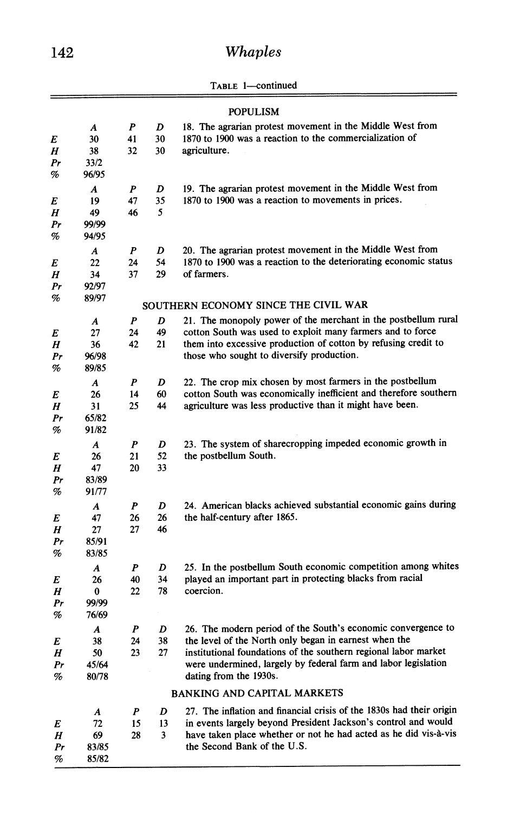**TABLE 1- continued** 

|              |                  |          |          | <b>POPULISM</b>                                                                                                            |
|--------------|------------------|----------|----------|----------------------------------------------------------------------------------------------------------------------------|
|              | A                | P        | D        | 18. The agrarian protest movement in the Middle West from                                                                  |
| E            | 30               | 41       | 30       | 1870 to 1900 was a reaction to the commercialization of                                                                    |
| Н            | 38               | 32       | 30       | agriculture.                                                                                                               |
| Pr           | 33/2             |          |          |                                                                                                                            |
| %            | 96/95            |          |          |                                                                                                                            |
|              | A                | P        | D        | 19. The agrarian protest movement in the Middle West from                                                                  |
| E            | 19               | 47       | 35       | 1870 to 1900 was a reaction to movements in prices.                                                                        |
| H            | 49               | 46       | 5        |                                                                                                                            |
| Pr           | 99/99            |          |          |                                                                                                                            |
| %            | 94/95            |          |          |                                                                                                                            |
|              | A                | P        | D        | 20. The agrarian protest movement in the Middle West from                                                                  |
| E            | 22               | 24       | 54       | 1870 to 1900 was a reaction to the deteriorating economic status                                                           |
| H            | 34               | 37       | 29       | of farmers.                                                                                                                |
| $_{\it{Pr}}$ | 92/97            |          |          |                                                                                                                            |
| %            | 89/97            |          |          | SOUTHERN ECONOMY SINCE THE CIVIL WAR                                                                                       |
|              | A                | P        | D        | 21. The monopoly power of the merchant in the postbellum rural                                                             |
| E            | 27               | 24       | 49       | cotton South was used to exploit many farmers and to force                                                                 |
| Н            | 36               | 42       | 21       | them into excessive production of cotton by refusing credit to                                                             |
| Pr           | 96/98            |          |          | those who sought to diversify production.                                                                                  |
| %            | 89/85            |          |          |                                                                                                                            |
|              | $\boldsymbol{A}$ | P        | D        | 22. The crop mix chosen by most farmers in the postbellum                                                                  |
| E            | 26               | 14       | 60       | cotton South was economically inefficient and therefore southern                                                           |
| H            | 31               | 25       | 44       | agriculture was less productive than it might have been.                                                                   |
| Pr           | 65/82            |          |          |                                                                                                                            |
| %            | 91/82            |          |          |                                                                                                                            |
|              | $\boldsymbol{A}$ | P        | D        | 23. The system of sharecropping impeded economic growth in                                                                 |
| E            | 26               | 21       | 52       | the postbellum South.                                                                                                      |
| Н            | 47               | 20       | 33       |                                                                                                                            |
| Pr           | 83/89            |          |          |                                                                                                                            |
| %            | 91/77            |          |          |                                                                                                                            |
|              | A                | P        | D        | 24. American blacks achieved substantial economic gains during                                                             |
| E            | 47               | 26       | 26       | the half-century after 1865.                                                                                               |
| Н            | 27               | 27       | 46       |                                                                                                                            |
| Pr<br>%      | 85/91<br>83/85   |          |          |                                                                                                                            |
|              |                  |          |          |                                                                                                                            |
|              | $\boldsymbol{A}$ | P        | D        | 25. In the postbellum South economic competition among whites<br>played an important part in protecting blacks from racial |
| E<br>Н       | 26<br>0          | 40<br>22 | 34<br>78 | coercion.                                                                                                                  |
| Pr           | 99/99            |          |          |                                                                                                                            |
| %            | 76/69            |          |          |                                                                                                                            |
|              | $\boldsymbol{A}$ | P        | D        | 26. The modern period of the South's economic convergence to                                                               |
| E            | 38               | 24       | 38       | the level of the North only began in earnest when the                                                                      |
| H            | 50               | 23       | 27       | institutional foundations of the southern regional labor market                                                            |
| Pr           | 45/64            |          |          | were undermined, largely by federal farm and labor legislation                                                             |
| %            | 80/78            |          |          | dating from the 1930s.                                                                                                     |
|              |                  |          |          | <b>BANKING AND CAPITAL MARKETS</b>                                                                                         |
|              |                  |          | D        | 27. The inflation and financial crisis of the 1830s had their origin                                                       |
| E            | A<br>72          | P<br>15  | 13       | in events largely beyond President Jackson's control and would                                                             |
| H            | 69               | 28       | 3        | have taken place whether or not he had acted as he did vis-à-vis                                                           |
| Pr           | 83/85            |          |          | the Second Bank of the U.S.                                                                                                |
| %            | 85/82            |          |          |                                                                                                                            |
|              |                  |          |          |                                                                                                                            |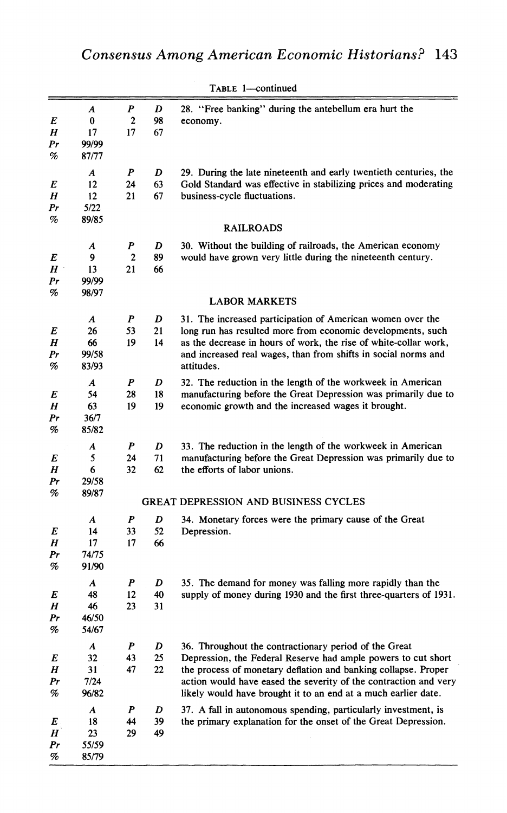|                  | A                | P                | D  | 28. "Free banking" during the antebellum era hurt the             |
|------------------|------------------|------------------|----|-------------------------------------------------------------------|
| E                | 0                | 2                | 98 | economy.                                                          |
| H                | 17               | 17               | 67 |                                                                   |
| Pr               | 99/99            |                  |    |                                                                   |
| %                | 87/77            |                  |    |                                                                   |
|                  | A                | P                | D  | 29. During the late nineteenth and early twentieth centuries, the |
| E                | 12               | 24               | 63 | Gold Standard was effective in stabilizing prices and moderating  |
| H                | 12               | 21               | 67 | business-cycle fluctuations.                                      |
| Pr               | 5/22             |                  |    |                                                                   |
| %                | 89/85            |                  |    |                                                                   |
|                  |                  |                  |    | <b>RAILROADS</b>                                                  |
|                  | A                | $\boldsymbol{P}$ | D  | 30. Without the building of railroads, the American economy       |
| E                | 9                | $\overline{2}$   | 89 | would have grown very little during the nineteenth century.       |
| Н                | 13               | 21               | 66 |                                                                   |
| Pr               | 99/99            |                  |    |                                                                   |
| %                | 98/97            |                  |    | <b>LABOR MARKETS</b>                                              |
|                  |                  |                  |    |                                                                   |
|                  | A                | P                | D  | 31. The increased participation of American women over the        |
| E                | 26               | 53               | 21 | long run has resulted more from economic developments, such       |
| Н                | 66               | 19               | 14 | as the decrease in hours of work, the rise of white-collar work,  |
| Pr               | 99/58            |                  |    | and increased real wages, than from shifts in social norms and    |
| %                | 83/93            |                  |    | attitudes.                                                        |
|                  | A                | P                | D  | 32. The reduction in the length of the workweek in American       |
| E                | 54               | 28               | 18 | manufacturing before the Great Depression was primarily due to    |
| Н                | 63               | 19               | 19 | economic growth and the increased wages it brought.               |
| Pr               | 36/7             |                  |    |                                                                   |
| %                | 85/82            |                  |    |                                                                   |
|                  | A                | P                | D  | 33. The reduction in the length of the workweek in American       |
| E                | 5                | 24               | 71 | manufacturing before the Great Depression was primarily due to    |
| Н                | 6                | 32               | 62 | the efforts of labor unions.                                      |
| Pr               | 29/58            |                  |    |                                                                   |
| %                | 89/87            |                  |    | <b>GREAT DEPRESSION AND BUSINESS CYCLES</b>                       |
|                  |                  |                  |    |                                                                   |
|                  | $\boldsymbol{A}$ | P                | D  | 34. Monetary forces were the primary cause of the Great           |
| E                | 14               | 33               | 52 | Depression.                                                       |
| H                | 17               | 17               | 66 |                                                                   |
| Pr               | 74/75            |                  |    |                                                                   |
| %                | 91/90            |                  |    |                                                                   |
|                  | A                | $\boldsymbol{P}$ | D  | 35. The demand for money was falling more rapidly than the        |
| E                | 48               | 12               | 40 | supply of money during 1930 and the first three-quarters of 1931. |
| H                | 46               | 23               | 31 |                                                                   |
| Pr               | 46/50            |                  |    |                                                                   |
| %                | 54/67            |                  |    |                                                                   |
|                  | A                | $\boldsymbol{P}$ | D  | 36. Throughout the contractionary period of the Great             |
| E                | 32               | 43               | 25 | Depression, the Federal Reserve had ample powers to cut short     |
| $\boldsymbol{H}$ | 31               | 47               | 22 | the process of monetary deflation and banking collapse. Proper    |
| Pr               | 7/24             |                  |    | action would have eased the severity of the contraction and very  |
| %                | 96/82            |                  |    | likely would have brought it to an end at a much earlier date.    |
|                  | $\boldsymbol{A}$ | P                | D  | 37. A fall in autonomous spending, particularly investment, is    |
| E                | 18               | 44               | 39 | the primary explanation for the onset of the Great Depression.    |
| H                | 23               | 29               | 49 |                                                                   |
| Pr               | 55/59            |                  |    |                                                                   |
| %                | 85/79            |                  |    |                                                                   |

**TABLE 1-continued**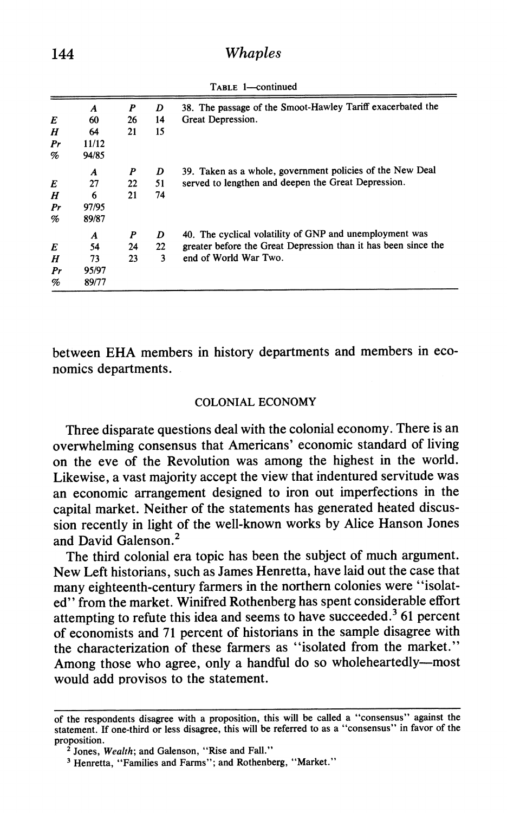|                  | A                | P                | D  | 38. The passage of the Smoot-Hawley Tariff exacerbated the     |
|------------------|------------------|------------------|----|----------------------------------------------------------------|
| E                | 60               | 26               | 14 | Great Depression.                                              |
| $\boldsymbol{H}$ | 64               | 21               | 15 |                                                                |
| Pr               | 11/12            |                  |    |                                                                |
| %                | 94/85            |                  |    |                                                                |
|                  | A                | $\boldsymbol{P}$ | D  | 39. Taken as a whole, government policies of the New Deal      |
| E                | 27               | 22               | 51 | served to lengthen and deepen the Great Depression.            |
| H                | 6                | 21               | 74 |                                                                |
| Pr               | 97/95            |                  |    |                                                                |
| %                | 89/87            |                  |    |                                                                |
|                  | $\boldsymbol{A}$ | P                | D  | 40. The cyclical volatility of GNP and unemployment was        |
| E                | 54               | 24               | 22 | greater before the Great Depression than it has been since the |
| H                | 73               | 23               | 3  | end of World War Two.                                          |
| Pr               | 95/97            |                  |    |                                                                |
| %                | 89/77            |                  |    |                                                                |

**TABLE 1-continued** 

**between EHA members in history departments and members in economics departments.** 

## **COLONIAL ECONOMY**

**Three disparate questions deal with the colonial economy. There is an overwhelming consensus that Americans' economic standard of living on the eve of the Revolution was among the highest in the world. Likewise, a vast majority accept the view that indentured servitude was an economic arrangement designed to iron out imperfections in the capital market. Neither of the statements has generated heated discussion recently in light of the well-known works by Alice Hanson Jones and David Galenson.2** 

**The third colonial era topic has been the subject of much argument. New Left historians, such as James Henretta, have laid out the case that many eighteenth-century farmers in the northern colonies were "isolated" from the market. Winifred Rothenberg has spent considerable effort attempting to refute this idea and seems to have succeeded.3 61 percent of economists and 71 percent of historians in the sample disagree with the characterization of these farmers as "isolated from the market." Among those who agree, only a handful do so wholeheartedly-most would add provisos to the statement.** 

**of the respondents disagree with a proposition, this will be called a "consensus" against the statement. If one-third or less disagree, this will be referred to as a "consensus" in favor of the proposition.** 

**<sup>2</sup>Jones, Wealth; and Galenson, "Rise and Fall."** 

<sup>&</sup>lt;sup>3</sup> Henretta, "Families and Farms"; and Rothenberg, "Market."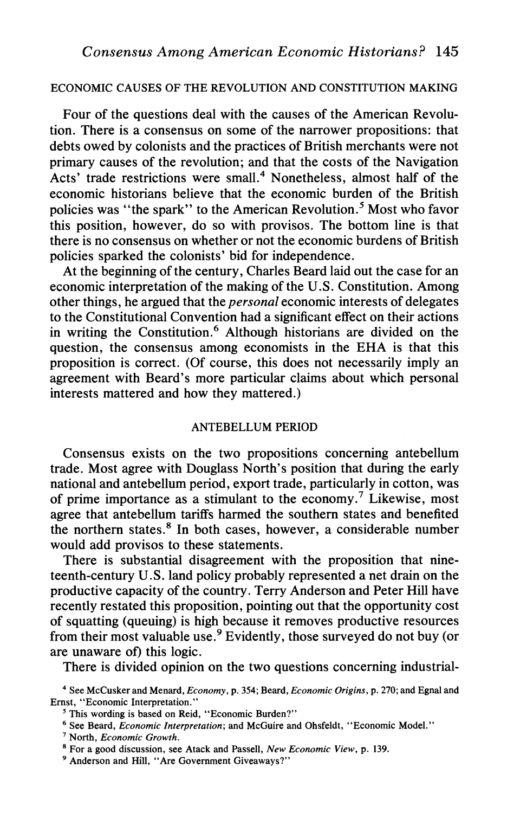## **ECONOMIC CAUSES OF THE REVOLUTION AND CONSTITUTION MAKING**

**Four of the questions deal with the causes of the American Revolution. There is a consensus on some of the narrower propositions: that debts owed by colonists and the practices of British merchants were not primary causes of the revolution; and that the costs of the Navigation Acts' trade restrictions were small.4 Nonetheless, almost half of the economic historians believe that the economic burden of the British**  policies was "the spark" to the American Revolution.<sup>5</sup> Most who favor **this position, however, do so with provisos. The bottom line is that there is no consensus on whether or not the economic burdens of British policies sparked the colonists' bid for independence.** 

**At the beginning of the century, Charles Beard laid out the case for an economic interpretation of the making of the U.S. Constitution. Among other things, he argued that the personal economic interests of delegates to the Constitutional Convention had a significant effect on their actions in writing the Constitution.6 Although historians are divided on the question, the consensus among economists in the EHA is that this proposition is correct. (Of course, this does not necessarily imply an agreement with Beard's more particular claims about which personal interests mattered and how they mattered.)** 

## **ANTEBELLUM PERIOD**

**Consensus exists on the two propositions concerning antebellum trade. Most agree with Douglass North's position that during the early national and antebellum period, export trade, particularly in cotton, was of prime importance as a stimulant to the economy.7 Likewise, most agree that antebellum tariffs harmed the southern states and benefited the northern states.8 In both cases, however, a considerable number would add provisos to these statements.** 

**There is substantial disagreement with the proposition that nineteenth-century U.S. land policy probably represented a net drain on the productive capacity of the country. Terry Anderson and Peter Hill have recently restated this proposition, pointing out that the opportunity cost of squatting (queuing) is high because it removes productive resources from their most valuable use.9 Evidently, those surveyed do not buy (or are unaware of) this logic.** 

**There is divided opinion on the two questions concerning industrial-**

**<sup>4</sup> See McCusker and Menard, Economy, p. 354; Beard, Economic Origins, p. 270; and Egnal and Ernst, "Economic Interpretation."** 

**<sup>5</sup>This wording is based on Reid, "Economic Burden?"** 

**<sup>6</sup>See Beard, Economic Interpretation; and McGuire and Ohsfeldt, "Economic Model."** 

**<sup>7</sup>North, Economic Growth.** 

**<sup>8</sup>For a good discussion, see Atack and Passell, New Economic View, p. 139.** 

<sup>&</sup>lt;sup>9</sup> Anderson and Hill, "Are Government Giveaways?"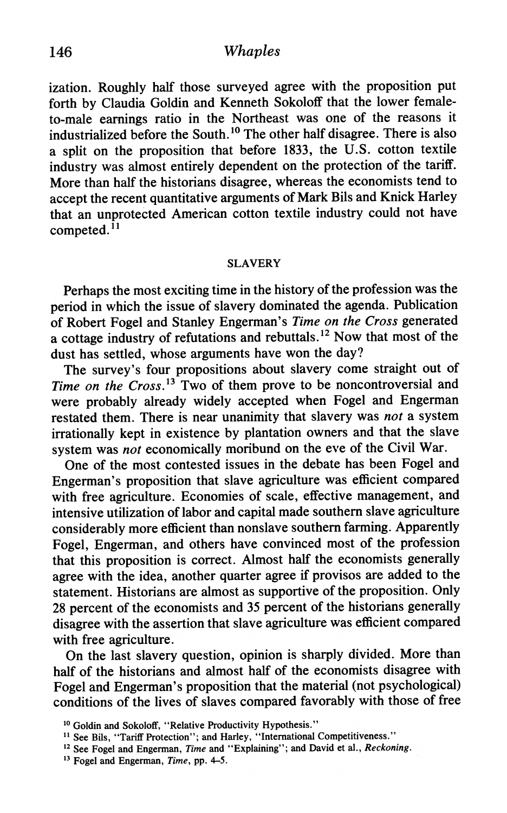**ization. Roughly half those surveyed agree with the proposition put forth by Claudia Goldin and Kenneth Sokoloff that the lower femaleto-male earnings ratio in the Northeast was one of the reasons it industrialized before the South. 10 The other half disagree. There is also a split on the proposition that before 1833, the U.S. cotton textile industry was almost entirely dependent on the protection of the tariff. More than half the historians disagree, whereas the economists tend to accept the recent quantitative arguments of Mark Bils and Knick Harley that an unprotected American cotton textile industry could not have**  competed.<sup>11</sup>

### **SLAVERY**

**Perhaps the most exciting time in the history of the profession was the period in which the issue of slavery dominated the agenda. Publication of Robert Fogel and Stanley Engerman's Time on the Cross generated a cottage industry of refutations and rebuttals.12 Now that most of the dust has settled, whose arguments have won the day?** 

**The survey's four propositions about slavery come straight out of Time on the Cross.13 Two of them prove to be noncontroversial and were probably already widely accepted when Fogel and Engerman restated them. There is near unanimity that slavery was not a system irrationally kept in existence by plantation owners and that the slave system was not economically moribund on the eve of the Civil War.** 

**One of the most contested issues in the debate has been Fogel and Engerman's proposition that slave agriculture was efficient compared with free agriculture. Economies of scale, effective management, and intensive utilization of labor and capital made southern slave agriculture considerably more efficient than nonslave southern farming. Apparently Fogel, Engerman, and others have convinced most of the profession that this proposition is correct. Almost half the economists generally agree with the idea, another quarter agree if provisos are added to the statement. Historians are almost as supportive of the proposition. Only 28 percent of the economists and 35 percent of the historians generally disagree with the assertion that slave agriculture was efficient compared with free agriculture.** 

**On the last slavery question, opinion is sharply divided. More than half of the historians and almost half of the economists disagree with Fogel and Engerman's proposition that the material (not psychological) conditions of the lives of slaves compared favorably with those of free** 

<sup>10</sup> Goldin and Sokoloff, "Relative Productivity Hypothesis."

<sup>&</sup>lt;sup>11</sup> See Bils, "Tariff Protection"; and Harley, "International Competitiveness."

<sup>&</sup>lt;sup>12</sup> See Fogel and Engerman, *Time* and "Explaining"; and David et al., Reckoning.

**<sup>13</sup> Fogel and Engerman, Time, pp. 4-5.**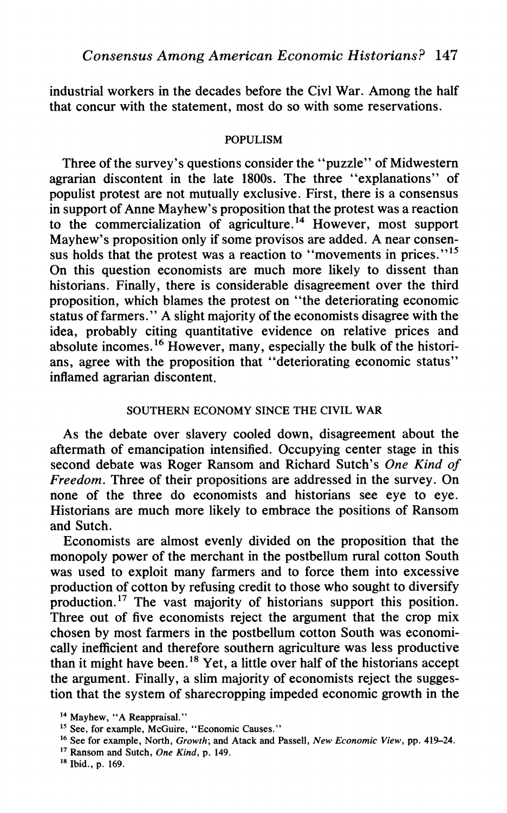**industrial workers in the decades before the Civl War. Among the half that concur with the statement, most do so with some reservations.** 

## **POPULISM**

**Three of the survey's questions consider the "puzzle" of Midwestern agrarian discontent in the late 1800s. The three "explanations" of populist protest are not mutually exclusive. First, there is a consensus in support of Anne Mayhew's proposition that the protest was a reaction to the commercialization of agriculture. 14 However, most support Mayhew's proposition only if some provisos are added. A near consensus holds that the protest was a reaction to "movements in prices."'15 On this question economists are much more likely to dissent than historians. Finally, there is considerable disagreement over the third proposition, which blames the protest on "the deteriorating economic status of farmers." A slight majority of the economists disagree with the idea, probably citing quantitative evidence on relative prices and absolute incomes. 16 However, many, especially the bulk of the historians, agree with the proposition that "deteriorating economic status" inflamed agrarian discontent.** 

## **SOUTHERN ECONOMY SINCE THE CIVIL WAR**

**As the debate over slavery cooled down, disagreement about the aftermath of emancipation intensified. Occupying center stage in this second debate was Roger Ransom and Richard Sutch's One Kind of Freedom. Three of their propositions are addressed in the survey. On none of the three do economists and historians see eye to eye. Historians are much more likely to embrace the positions of Ransom and Sutch.** 

**Economists are almost evenly divided on the proposition that the monopoly power of the merchant in the postbellum rural cotton South was used to exploit many farmers and to force them into excessive production of cotton by refusing credit to those who sought to diversify production.17 The vast majority of historians support this position. Three out of five economists reject the argument that the crop mix chosen by most farmers in the postbellum cotton South was economically inefficient and therefore southern agriculture was less productive than it might have been. 18 Yet, a little over half of the historians accept the argument. Finally, a slim majority of economists reject the suggestion that the system of sharecropping impeded economic growth in the** 

**<sup>14</sup>Mayhew, "A Reappraisal."** 

<sup>&</sup>lt;sup>15</sup> See, for example, McGuire, "Economic Causes."

**<sup>16</sup>See for example, North, Growth; and Atack and Passell, New Economic View, pp. 419-24.** 

**<sup>17</sup>Ransom and Sutch, One Kind, p. 149.** 

**<sup>18</sup> Ibid., p. 169.**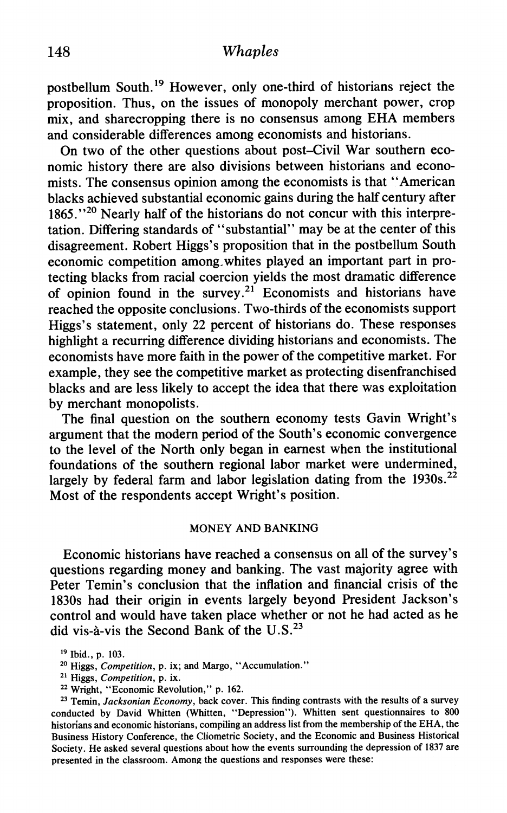**postbellum South.19 However, only one-third of historians reject the proposition. Thus, on the issues of monopoly merchant power, crop mix, and sharecropping there is no consensus among EHA members and considerable differences among economists and historians.** 

**On two of the other questions about post-Civil War southern economic history there are also divisions between historians and economists. The consensus opinion among the economists is that "American blacks achieved substantial economic gains during the half century after 1865.",20 Nearly half of the historians do not concur with this interpretation. Differing standards of "substantial" may be at the center of this disagreement. Robert Higgs's proposition that in the postbellum South economic competition among. whites played an important part in protecting blacks from racial coercion yields the most dramatic difference of opinion found in the survey.21 Economists and historians have reached the opposite conclusions. Two-thirds of the economists support Higgs's statement, only 22 percent of historians do. These responses highlight a recurring difference dividing historians and economists. The economists have more faith in the power of the competitive market. For example, they see the competitive market as protecting disenfranchised blacks and are less likely to accept the idea that there was exploitation by merchant monopolists.** 

**The final question on the southern economy tests Gavin Wright's argument that the modern period of the South's economic convergence to the level of the North only began in earnest when the institutional foundations of the southern regional labor market were undermined,**  largely by federal farm and labor legislation dating from the 1930s.<sup>22</sup> **Most of the respondents accept Wright's position.** 

## **MONEY AND BANKING**

**Economic historians have reached a consensus on all of the survey's questions regarding money and banking. The vast majority agree with Peter Temin's conclusion that the inflation and financial crisis of the 1830s had their origin in events largely beyond President Jackson's control and would have taken place whether or not he had acted as he did vis-a-vis the Second Bank of the U.S.23** 

**<sup>19</sup>Ibid., p. 103.** 

**<sup>20</sup>Higgs, Competition, p. ix; and Margo, "Accumulation."** 

**<sup>21</sup> Higgs, Competition, p. ix.** 

**<sup>22</sup> Wright, "Economic Revolution," p. 162.** 

**<sup>23</sup>Temin, Jacksonian Economy, back cover. This finding contrasts with the results of a survey conducted by David Whitten (Whitten, "Depression"). Whitten sent questionnaires to 800 historians and economic historians, compiling an address list from the membership of the EHA, the Business History Conference, the Cliometric Society, and the Economic and Business Historical Society. He asked several questions about how the events surrounding the depression of 1837 are presented in the classroom. Among the questions and responses were these:**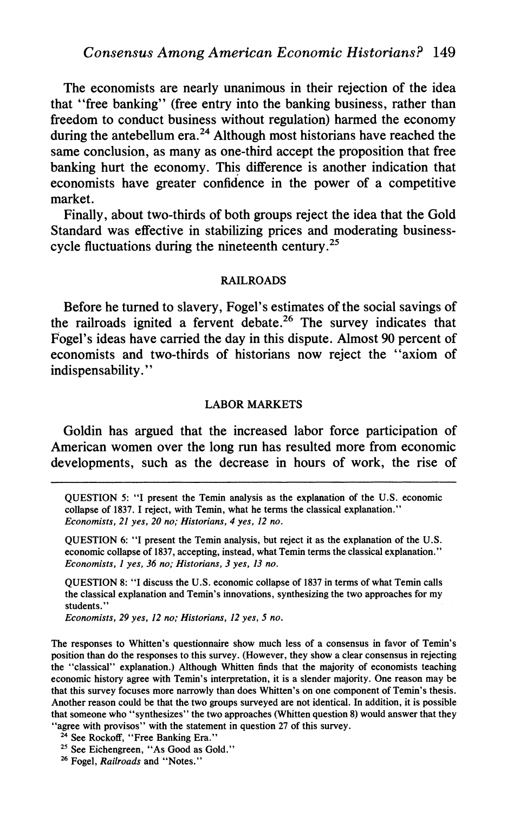**The economists are nearly unanimous in their rejection of the idea that "free banking" (free entry into the banking business, rather than freedom to conduct business without regulation) harmed the economy during the antebellum era.24 Although most historians have reached the same conclusion, as many as one-third accept the proposition that free banking hurt the economy. This difference is another indication that economists have greater confidence in the power of a competitive market.** 

**Finally, about two-thirds of both groups reject the idea that the Gold Standard was effective in stabilizing prices and moderating businesscycle fluctuations during the nineteenth century.25** 

## **RAILROADS**

**Before he turned to slavery, Fogel's estimates of the social savings of the railroads ignited a fervent debate.26 The survey indicates that Fogel's ideas have carried the day in this dispute. Almost 90 percent of economists and two-thirds of historians now reject the "axiom of indispensability. "** 

## **LABOR MARKETS**

**Goldin has argued that the increased labor force participation of American women over the long run has resulted more from economic developments, such as the decrease in hours of work, the rise of** 

**QUESTION 5: "I present the Temin analysis as the explanation of the U.S. economic collapse of 1837. I reject, with Temin, what he terms the classical explanation." Economists, 21 yes, 20 no; Historians, 4 yes, 12 no.** 

**QUESTION 6: "I present the Temin analysis, but reject it as the explanation of the U.S. economic collapse of 1837, accepting, instead, what Temin terms the classical explanation." Economists, I yes, 36 no; Historians, 3 yes, 13 no.** 

**QUESTION 8: "I discuss the U.S. economic collapse of 1837 in terms of what Temin calls the classical explanation and Temin's innovations, synthesizing the two approaches for my students."** 

**Economists, 29 yes, 12 no; Historians, 12 yes, 5 no.** 

**The responses to Whitten's questionnaire show much less of a consensus in favor of Temin's position than do the responses to this survey. (However, they show a clear consensus in rejecting the "classical" explanation.) Although Whitten finds that the majority of economists teaching economic history agree with Temin's interpretation, it is a slender majority. One reason may be that this survey focuses more narrowly than does Whitten's on one component of Temin's thesis. Another reason could be that the two groups surveyed are not identical. In addition, it is possible that someone who "synthesizes" the two approaches (Whitten question 8) would answer that they "agree with provisos" with the statement in question 27 of this survey.** 

**<sup>24</sup> See Rockoff, "Free Banking Era."** 

**<sup>25</sup>See Eichengreen, "As Good as Gold."** 

**<sup>26</sup> Fogel, Railroads and "Notes."**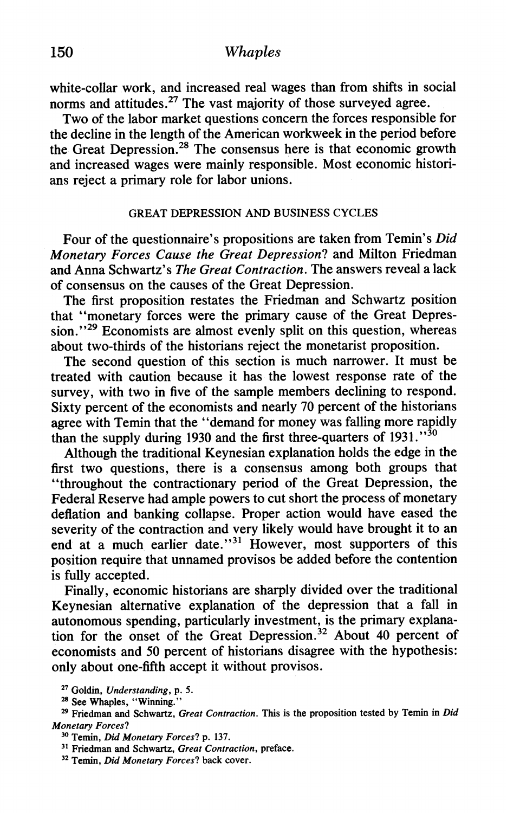**white-collar work, and increased real wages than from shifts in social norms and attitudes.27 The vast majority of those surveyed agree.** 

**Two of the labor market questions concern the forces responsible for the decline in the length of the American workweek in the period before the Great Depression.28 The consensus here is that economic growth and increased wages were mainly responsible. Most economic historians reject a primary role for labor unions.** 

## **GREAT DEPRESSION AND BUSINESS CYCLES**

**Four of the questionnaire's propositions are taken from Temin's Did Monetary Forces Cause the Great Depression? and Milton Friedman and Anna Schwartz's The Great Contraction. The answers reveal a lack of consensus on the causes of the Great Depression.** 

**The first proposition restates the Friedman and Schwartz position that "monetary forces were the primary cause of the Great Depression. 29 Economists are almost evenly split on this question, whereas about two-thirds of the historians reject the monetarist proposition.** 

**The second question of this section is much narrower. It must be treated with caution because it has the lowest response rate of the survey, with two in five of the sample members declining to respond. Sixty percent of the economists and nearly 70 percent of the historians agree with Temin that the "demand for money was falling more rapidly than the supply during 1930 and the first three-quarters of 1931.'30** 

**Although the traditional Keynesian explanation holds the edge in the first two questions, there is a consensus among both groups that "throughout the contractionary period of the Great Depression, the Federal Reserve had ample powers to cut short the process of monetary deflation and banking collapse. Proper action would have eased the severity of the contraction and very likely would have brought it to an end at a much earlier date."31 However, most supporters of this position require that unnamed provisos be added before the contention is fully accepted.** 

**Finally, economic historians are sharply divided over the traditional Keynesian alternative explanation of the depression that a fall in autonomous spending, particularly investment, is the primary explanation for the onset of the Great Depression.32 About 40 percent of economists and 50 percent of historians disagree with the hypothesis: only about one-fifth accept it without provisos.** 

**<sup>27</sup>Goldin, Understanding, p. 5.** 

**<sup>28</sup>See Whaples, "Winning."** 

**<sup>2&#</sup>x27; Friedman and Schwartz, Great Contraction. This is the proposition tested by Temin in Did Monetary Forces?** 

**<sup>30</sup> Temin, Did Monetary Forces? p. 137.** 

**<sup>31</sup> Friedman and Schwartz, Great Contraction, preface.** 

**<sup>32</sup> Temin, Did Monetary Forces? back cover.**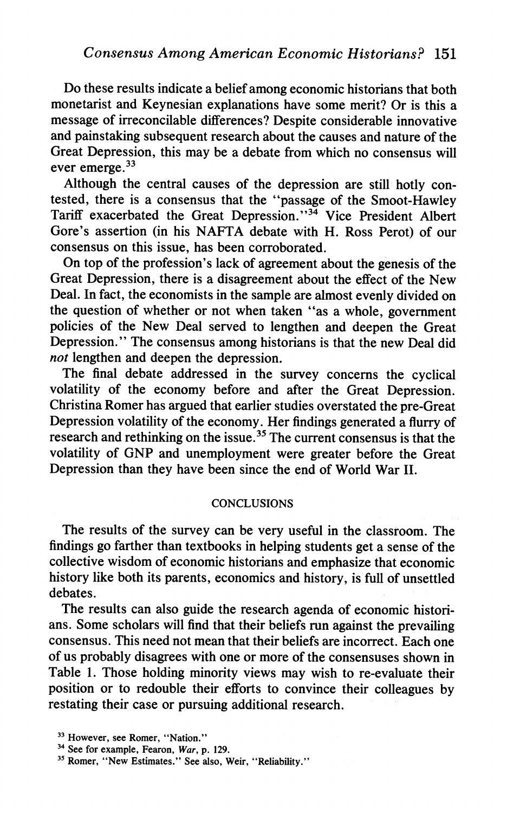**Do these results indicate a belief among economic historians that both monetarist and Keynesian explanations have some merit? Or is this a message of irreconcilable differences? Despite considerable innovative and painstaking subsequent research about the causes and nature of the Great Depression, this may be a debate from which no consensus will ever emerge.33** 

**Although the central causes of the depression are still hotly contested, there is a consensus that the "passage of the Smoot-Hawley Tariff exacerbated the Great Depression."34 Vice President Albert Gore's assertion (in his NAFTA debate with H. Ross Perot) of our consensus on this issue, has been corroborated.** 

**On top of the profession's lack of agreement about the genesis of the Great Depression, there is a disagreement about the effect of the New Deal. In fact, the economists in the sample are almost evenly divided on the question of whether or not when taken "as a whole, government policies of the New Deal served to lengthen and deepen the Great Depression." The consensus among historians is that the new Deal did not lengthen and deepen the depression.** 

**The final debate addressed in the survey concerns the cyclical volatility of the economy before and after the Great Depression. Christina Romer has argued that earlier studies overstated the pre-Great Depression volatility of the economy. Her findings generated a flurry of research and rethinking on the issue.35 The current consensus is that the volatility of GNP and unemployment were greater before the Great Depression than they have been since the end of World War II.** 

## **CONCLUSIONS**

**The results of the survey can be very useful in the classroom. The findings go farther than textbooks in helping students get a sense of the collective wisdom of economic historians and emphasize that economic history like both its parents, economics and history, is full of unsettled debates.** 

**The results can also guide the research agenda of economic historians. Some scholars will find that their beliefs run against the prevailing consensus. This need not mean that their beliefs are incorrect. Each one of us probably disagrees with one or more of the consensuses shown in Table 1. Those holding minority views may wish to re-evaluate their position or to redouble their efforts to convince their colleagues by restating their case or pursuing additional research.** 

**<sup>33</sup>However, see Romer, "Nation."** 

**<sup>34</sup>See for example, Fearon, War, p. 129.** 

**<sup>3</sup>S Romer, "New Estimates." See also, Weir, "Reliability."**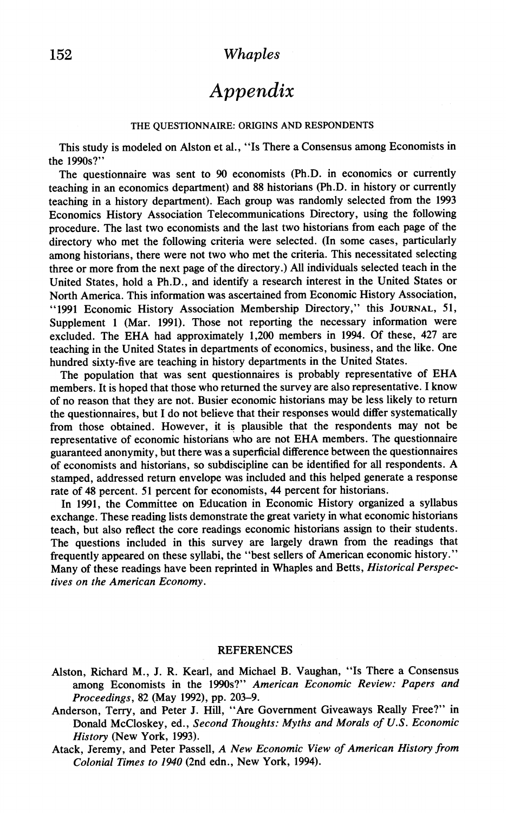# **Appendix**

#### **THE QUESTIONNAIRE: ORIGINS AND RESPONDENTS**

**This study is modeled on Alston et al., "Is There a Consensus among Economists in the 1990s?"** 

**The questionnaire was sent to 90 economists (Ph.D. in economics or currently teaching in an economics department) and 88 historians (Ph.D. in history or currently teaching in a history department). Each group was randomly selected from the 1993 Economics History Association Telecommunications Directory, using the following procedure. The last two economists and the last two historians from each page of the directory who met the following criteria were selected. (In some cases, particularly among historians, there were not two who met the criteria. This necessitated selecting three or more from the next page of the directory.) All individuals selected teach in the United States, hold a Ph.D., and identify a research interest in the United States or North America. This information was ascertained from Economic History Association, "1991 Economic History Association Membership Directory," this JOURNAL, 51, Supplement 1 (Mar. 1991). Those not reporting the necessary information were excluded. The EHA had approximately 1,200 members in 1994. Of these, 427 are teaching in the United States in departments of economics, business, and the like. One hundred sixty-five are teaching in history departments in the United States.** 

**The population that was sent questionnaires is probably representative of EHA members. It is hoped that those who returned the survey are also representative. I know of no reason that they are not. Busier economic historians may be less likely to return the questionnaires, but I do not believe that their responses would differ systematically from those obtained. However, it is plausible that the respondents may not be representative of economic historians who are not EHA members. The questionnaire guaranteed anonymity, but there was a superficial difference between the questionnaires of economists and historians, so subdiscipline can be identified for all respondents. A stamped, addressed return envelope was included and this helped generate a response rate of 48 percent. 51 percent for economists, 44 percent for historians.** 

**In 1991, the Committee on Education in Economic History organized a syllabus exchange. These reading lists demonstrate the great variety in what economic historians teach, but also reflect the core readings economic historians assign to their students. The questions included in this survey are largely drawn from the readings that frequently appeared on these syllabi, the "best sellers of American economic history." Many of these readings have been reprinted in Whaples and Betts, Historical Perspectives on the American Economy.** 

#### **REFERENCES**

- **Alston, Richard M., J. R. Kearl, and Michael B. Vaughan, "Is There a Consensus among Economists in the 1990s?" American Economic Review: Papers and Proceedings, 82 (May 1992), pp. 203-9.**
- **Anderson, Terry, and Peter J. Hill, "Are Government Giveaways Really Free?" in Donald McCloskey, ed., Second Thoughts: Myths and Morals of U.S. Economic History (New York, 1993).**
- **Atack, Jeremy, and Peter Passell, A New Economic View of American History from Colonial Times to 1940 (2nd edn., New York, 1994).**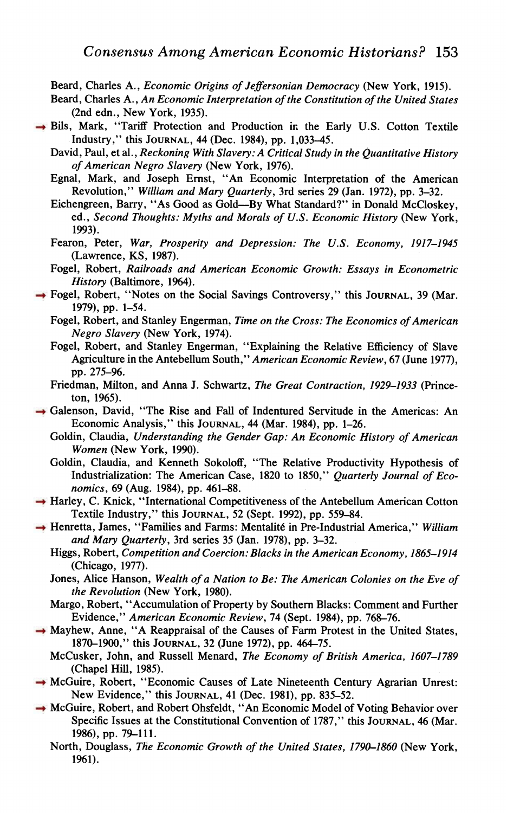**Beard, Charles A., Economic Origins of Jeffersonian Democracy (New York, 1915).** 

- **Beard, Charles A., An Economic Interpretation of the Constitution of the United States (2nd edn., New York, 1935).**
- **Bils, Mark, "Tariff Protection and Production in the Early U.S. Cotton Textile Industry," this JOURNAL, 44 (Dec. 1984), pp. 1,033-45.** 
	- **David, Paul, et al., Reckoning With Slavery: A Critical Study in the Quantitative History of American Negro Slavery (New York, 1976).**
	- **Egnal, Mark, and Joseph Ernst, "An Economic Interpretation of the American Revolution," William and Mary Quarterly, 3rd series 29 (Jan. 1972), pp. 3-32.**
	- **Eichengreen, Barry, "As Good as Gold-By What Standard?" in Donald McCloskey, ed., Second Thoughts: Myths and Morals of U.S. Economic History (New York, 1993).**
	- **Fearon, Peter, War, Prosperity and Depression: The U.S. Economy, 1917-1945 (Lawrence, KS, 1987).**
	- **Fogel, Robert, Railroads and American Economic Growth: Essays in Econometric History (Baltimore, 1964).**
- **Fogel, Robert, "Notes on the Social Savings Controversy," this JOURNAL, 39 (Mar. 1979), pp. 1-54.** 
	- **Fogel, Robert, and Stanley Engerman, Time on the Cross: The Economics of American Negro Slavery (New York, 1974).**
	- **Fogel, Robert, and Stanley Engerman, "Explaining the Relative Efficiency of Slave Agriculture in the Antebellum South," American Economic Review, 67 (June 1977), pp. 275-96.**
	- **Friedman, Milton, and Anna J. Schwartz, The Great Contraction, 1929-1933 (Princeton, 1965).**
- **Galenson, David, "The Rise and Fall of Indentured Servitude in the Americas: An Economic Analysis," this JOURNAL, 44 (Mar. 1984), pp. 1-26.** 
	- **Goldin, Claudia, Understanding the Gender Gap: An Economic History of American Women (New York, 1990).**
	- **Goldin, Claudia, and Kenneth Sokoloff, "The Relative Productivity Hypothesis of Industrialization: The American Case, 1820 to 1850," Quarterly Journal of Economics, 69 (Aug. 1984), pp. 461-88.**
- → Harley, C. Knick, "International Competitiveness of the Antebellum American Cotton **Textile Industry," this JOURNAL, 52 (Sept. 1992), pp. 559-84.**
- **Henretta, James, "Families and Farms: Mentalite in Pre-Industrial America," William and Mary Quarterly, 3rd series 35 (Jan. 1978), pp. 3-32.** 
	- **Higgs, Robert, Competition and Coercion: Blacks in the American Economy, 1865-1914 (Chicago, 1977).**
	- **Jones, Alice Hanson, Wealth of a Nation to Be: The American Colonies on the Eve of the Revolution (New York, 1980).**
	- **Margo, Robert, "Accumulation of Property by Southern Blacks: Comment and Further Evidence," American Economic Review, 74 (Sept. 1984), pp. 768-76.**
- **Mayhew, Anne, "A Reappraisal of the Causes of Farm Protest in the United States, 1870-1900," this JOURNAL, 32 (June 1972), pp. 464-75.** 
	- **McCusker, John, and Russell Menard, The Economy of British America, 1607-1789 (Chapel Hill, 1985).**
- **McGuire, Robert, "Economic Causes of Late Nineteenth Century Agrarian Unrest: New Evidence," this JOURNAL, 41 (Dec. 1981), pp. 835-52.**
- **McGuire, Robert, and Robert Ohsfeldt, "An Economic Model of Voting Behavior over Specific Issues at the Constitutional Convention of 1787," this JOURNAL, 46 (Mar. 1986), pp. 79-111.** 
	- **North, Douglass, The Economic Growth of the United States, 1790-1860 (New York, 1961).**